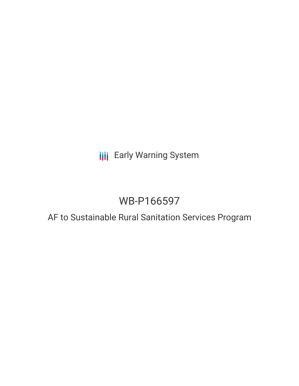## **III** Early Warning System

# WB-P166597

## AF to Sustainable Rural Sanitation Services Program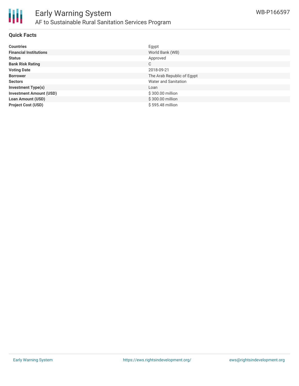

#### **Quick Facts**

| <b>Countries</b>               | Egypt                       |
|--------------------------------|-----------------------------|
| <b>Financial Institutions</b>  | World Bank (WB)             |
| <b>Status</b>                  | Approved                    |
| <b>Bank Risk Rating</b>        | C                           |
| <b>Voting Date</b>             | 2018-09-21                  |
| <b>Borrower</b>                | The Arab Republic of Egypt  |
| <b>Sectors</b>                 | <b>Water and Sanitation</b> |
| <b>Investment Type(s)</b>      | Loan                        |
| <b>Investment Amount (USD)</b> | \$300.00 million            |
| <b>Loan Amount (USD)</b>       | \$300.00 million            |
| <b>Project Cost (USD)</b>      | \$595.48 million            |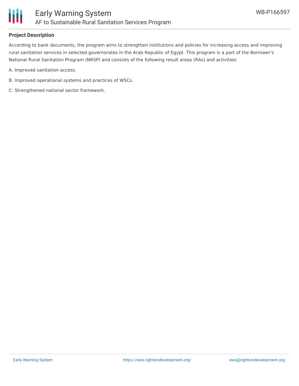

### **Project Description**

According to bank documents, the program aims to strengthen institutions and policies for increasing access and improving rural sanitation services in selected governorates in the Arab Republic of Egypt. This program is a part of the Borrower's National Rural Sanitation Program (NRSP) and consists of the following result areas (RAs) and activities:

A. Improved sanitation access.

- B. Improved operational systems and practices of WSCs.
- C. Strengthened national sector framework.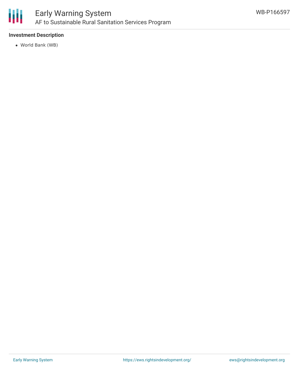

### **Investment Description**

World Bank (WB)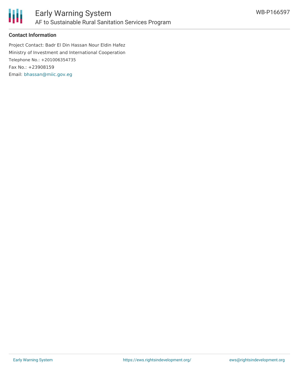



### **Contact Information**

Project Contact: Badr El Din Hassan Nour Eldin Hafez Ministry of Investment and International Cooperation Telephone No.: +201006354735 Fax No.: +23908159 Email: [bhassan@miic.gov.eg](mailto:bhassan@miic.gov.eg)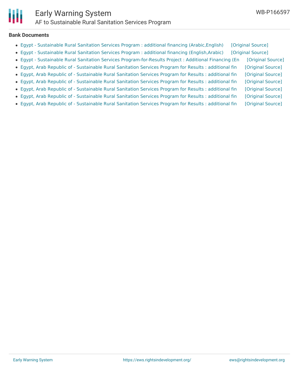

#### **Bank Documents**

| • Egypt - Sustainable Rural Sanitation Services Program : additional financing (Arabic, English)       | [Original Source] |
|--------------------------------------------------------------------------------------------------------|-------------------|
| • Egypt - Sustainable Rural Sanitation Services Program : additional financing (English, Arabic)       | [Original Source] |
| • Egypt - Sustainable Rural Sanitation Services Program-for-Results Project : Additional Financing (En | [Original Source] |
| • Egypt, Arab Republic of - Sustainable Rural Sanitation Services Program for Results : additional fin | [Original Source] |
| • Egypt, Arab Republic of - Sustainable Rural Sanitation Services Program for Results : additional fin | [Original Source] |
| • Egypt, Arab Republic of - Sustainable Rural Sanitation Services Program for Results : additional fin | [Original Source] |
| • Egypt, Arab Republic of - Sustainable Rural Sanitation Services Program for Results : additional fin | [Original Source] |
| • Egypt, Arab Republic of - Sustainable Rural Sanitation Services Program for Results : additional fin | [Original Source] |
| • Egypt, Arab Republic of - Sustainable Rural Sanitation Services Program for Results : additional fin | [Original Source] |